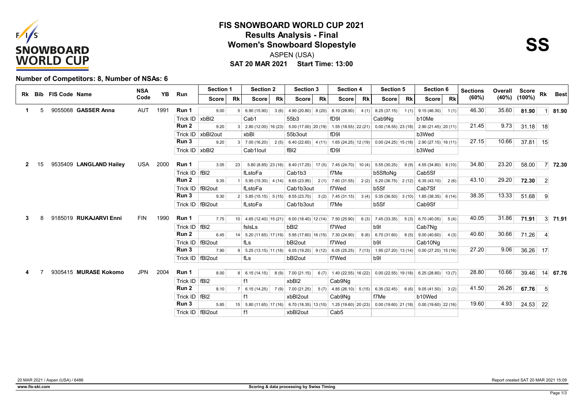

## **SAT 20 MAR 2021 Start Time: 13:00 FIS SNOWBOARD WORLD CUP 2021 Results Analysis - Final<br>
Women's Snowboard Slopestyle<br>
ASPEN (LISA)** ASPEN (USA)



#### **Number of Competitors: 8, Number of NSAs: 6**

|    |    | Rk Bib FIS Code Name |                         | <b>NSA</b> | YB   |                    | <b>Section 1</b>  |           | <b>Section 2</b>                  | <b>Section 3</b>          | <b>Section 4</b>          | <b>Section 5</b>                              | Section 6                                  | <b>Sections</b> | Overall | Score              | Rk             | <b>Best</b>     |
|----|----|----------------------|-------------------------|------------|------|--------------------|-------------------|-----------|-----------------------------------|---------------------------|---------------------------|-----------------------------------------------|--------------------------------------------|-----------------|---------|--------------------|----------------|-----------------|
|    |    |                      |                         | Code       |      | Run                | <b>Score</b>      | <b>Rk</b> | <b>Rk</b><br><b>Score</b>         | <b>Rk</b><br><b>Score</b> | <b>Score</b><br><b>Rk</b> | <b>Rk</b><br><b>Score</b>                     | <b>Rk</b><br><b>Score</b>                  | (60%)           |         | $(40\%)$ $(100\%)$ |                |                 |
| -1 | 5  |                      | 9055068 GASSER Anna     | AUT        | 1991 | Run 1              | 9.00              |           | 6.90 (15.90)<br>3(6)              | 4.90(20.80) 8(20)         | 8.10(28.90)<br>4(1)       | 8.25 (37.15)<br>1(1)                          | 9.15(46.30)<br>1(1)                        | 46.30           | 35.60   | 81.90              | $1 \vert$      | 81.90           |
|    |    |                      |                         |            |      | Trick ID           | x <sub>bB12</sub> |           | Cab1                              | 55b3                      | f <sub>D9I</sub>          | Cab9Nq                                        | b10Me                                      |                 |         |                    |                |                 |
|    |    |                      |                         |            |      | Run 2              | 9.20              |           | $2.80(12.00)$ 16 (23)             | $5.00(17.00)$ 20 (19)     | $1.55(18.55)$ 22 (21)     |                                               | $0.00(18.55)$ 23 (18) 2.90 (21.45) 20 (11) | 21.45           | 9.73    | $31.18$ 18         |                |                 |
|    |    |                      |                         |            |      | Trick ID           | xbBl2out          |           | xbBl                              | 55b3out                   | fD9I                      |                                               | b3Wed                                      |                 |         |                    |                |                 |
|    |    |                      |                         |            |      | Run 3              | 9.20              |           | 7.00 (16.20)<br>2(5)              | $6.40(22.60)$ 4 (11)      |                           | $1.65(24.25)$ $ 12(19) $ 0.00 (24.25) 15 (18) | $2.90(27.15)$ 16 (11)                      | 27.15           | 10.66   | $37.81$ 15         |                |                 |
|    |    |                      |                         |            |      | Trick ID   xbBl2   |                   |           | Cab1lout                          | fBI <sub>2</sub>          | fD9I                      |                                               | b3Wed                                      |                 |         |                    |                |                 |
|    |    |                      |                         |            |      |                    |                   |           |                                   |                           |                           |                                               |                                            |                 |         |                    |                |                 |
|    | 15 |                      | 9535409 LANGLAND Hailey | USA        | 2000 | Run 1              | 3.05              | 23        | $5.80(8.85)$ 23 (16)              | $8.40(17.25)$ 17(5)       | $7.45(24.70)$ 10(4)       | 5.55 (30.25)<br>9(9)                          | $4.55(34.80)$ 8(10)                        | 34.80           | 23.20   | 58.00              |                | $7 \vert 72.30$ |
|    |    |                      |                         |            |      | Trick $ID$   fBI2  |                   |           | fLstoFa                           | Cab1b3                    | f7Me                      | b5SftoNg                                      | Cab5Sf                                     |                 |         |                    |                |                 |
|    |    |                      |                         |            |      | Run 2              | 9.35              |           | 5.95(15.30) 4(14)                 | 8.65 (23.95)<br>2(1)      | 7.60(31.55)<br>2(2)       | $5.20(36.75)$ $2(12)$ 6.35 (43.10)            | 2(6)                                       | 43.10           | 29.20   | 72.30              | $\overline{2}$ |                 |
|    |    |                      |                         |            |      | Trick ID   fBI2out |                   |           | fLstoFa                           | Cab1b3out                 | f7Wed                     | b5Sf                                          | Cab7Sf                                     |                 |         |                    |                |                 |
|    |    |                      |                         |            |      | Run 3              | 9.30              |           | $2 \mid 5.85(15.15) \mid 5(15)$   | 8.55(23.70)<br>3(2)       | 7.45(31.15)<br>3(4)       | $5.35(36.50)$ 3(10)                           | $1.85(38.35)$ 6(14)                        | 38.35           | 13.33   | 51.68              | - 9            |                 |
|    |    |                      |                         |            |      | Trick ID   fBI2out |                   |           | fLstoFa                           | Cab1b3out                 | f7Me                      | b5Sf                                          | Cab9Sf                                     |                 |         |                    |                |                 |
|    |    |                      | 9185019 RUKAJARVI Enni  | <b>FIN</b> | 1990 | Run 1              |                   |           |                                   |                           |                           |                                               |                                            | 40.05           | 31.86   |                    |                |                 |
|    |    |                      |                         |            |      |                    | 7.75<br> fB12     |           | $10 \mid 4.65(12.40) \mid 15(21)$ | $6.00(18.40)$ 12 (14)     | 7.50 (25.90)<br>6(3)      | 7.45 (33.35)<br>5(3)                          | 6.70(40.05)<br>5(4)                        |                 |         | 71.91              |                | $3 \mid 71.91$  |
|    |    |                      |                         |            |      | Trick ID<br>Run 2  |                   |           | fslsLs                            | bBI <sub>2</sub>          | f7Wed                     | b <sub>9</sub>                                | Cab7Ng                                     | 40.60           | 30.66   |                    |                |                 |
|    |    |                      |                         |            |      |                    | 6.45              |           | $5.20(11.65)$ 17 (19)             | $5.95(17.60)$ 16 (15)     | 7.30 (24.90)<br>8(6)      | 6.70 (31.60)                                  | $8(5)$ 9.00 (40.60)<br>4(3)                |                 |         | 71.26              | $\vert$ 4      |                 |
|    |    |                      |                         |            |      | Trick ID<br>Run 3  | fBI2out           |           | fLs                               | bBI2out                   | f7Wed                     | b91                                           | Cab10Ng                                    | 27.20           | 9.06    |                    |                |                 |
|    |    |                      |                         |            |      |                    | 7.90              |           | $5.25(13.15)$ 11 (18)             | $6.05(19.20)$ 9(12)       | $6.05(25.25)$ 7 (13)      |                                               | $1.95(27.20)$ 13 (14) 0.00 (27.20) 15 (16) |                 |         | 36.26 17           |                |                 |
|    |    |                      |                         |            |      | Trick ID   fBI2out |                   |           | fLs                               | bBI2out                   | f7Wed                     | b9l                                           |                                            |                 |         |                    |                |                 |
|    |    |                      | 9305415 MURASE Kokomo   | <b>JPN</b> | 2004 | Run 1              | 8.00              |           | $8 \mid 6.15(14.15) \mid$<br>8(9) | 7.00(21.15)<br>6(7)       | 1.40 (22.55) $ 16(22) $   | $0.00(22.55)$ 19 (18)                         | $6.25(28.80)$ 13(7)                        | 28.80           | 10.66   | 39.46              |                | 14 67.76        |
|    |    |                      |                         |            |      | Trick ID   fBI2    |                   |           |                                   | xbBI2                     | Cab9Nq                    |                                               |                                            |                 |         |                    |                |                 |
|    |    |                      |                         |            |      | Run 2              | 8.10              |           | 6.15(14.25)<br>7(9)               | 7.00 (21.25)<br>5(7)      | $4.85(26.10)$ 5 (15)      | 6.35(32.45)                                   | $6(6)$ 9.05 (41.50)<br>3(2)                | 41.50           | 26.26   | 67.76              | 5 <sup>5</sup> |                 |
|    |    |                      |                         |            |      | Trick ID           | fBI <sub>2</sub>  |           | f1                                | xbBl2out                  | Cab9Nq                    | f7Me                                          | b10Wed                                     |                 |         |                    |                |                 |
|    |    |                      |                         |            |      | Run 3              | 5.85              | 15        | $5.80(11.65)$ 17 (16)             | $6.70(18.35)$ 13 (10)     | $1.25(19.60)$ $20(23)$    | $0.00(19.60)$ 21 (18)                         | $0.00(19.60)$ (22 (16)                     | 19.60           | 4.93    | $24.53$ 22         |                |                 |
|    |    |                      |                         |            |      | Trick ID   fBI2out |                   |           | f1                                | xbBl2out                  | Cab <sub>5</sub>          |                                               |                                            |                 |         |                    |                |                 |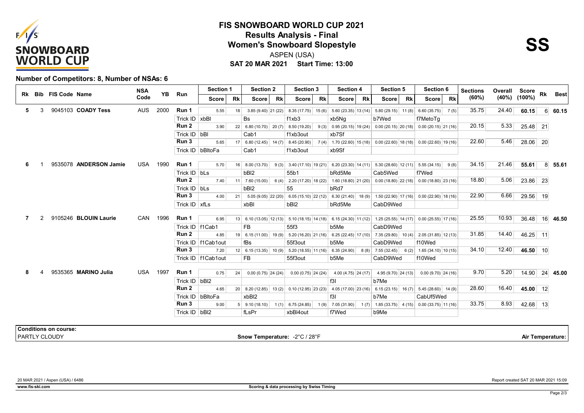

## **SAT 20 MAR 2021 Start Time: 13:00 FIS SNOWBOARD WORLD CUP 2021 Results Analysis - Final<br>
Women's Snowboard Slopestyle<br>
ASPEN (LISA)** ASPEN (USA)



#### **Number of Competitors: 8, Number of NSAs: 6**

|   |   | Rk Bib FIS Code Name         |                        | <b>NSA</b><br>Code | <b>YB</b> | Run                 | <b>Section 1</b>     |           | <b>Section 2</b>                                                                                       | <b>Section 3</b>                                     | <b>Section 4</b>          | Section 5                                                                | Section 6                                   | <b>Sections</b> | <b>Overall Score</b> |            | Rk               | <b>Best</b>     |  |
|---|---|------------------------------|------------------------|--------------------|-----------|---------------------|----------------------|-----------|--------------------------------------------------------------------------------------------------------|------------------------------------------------------|---------------------------|--------------------------------------------------------------------------|---------------------------------------------|-----------------|----------------------|------------|------------------|-----------------|--|
|   |   |                              |                        |                    |           |                     | Score                | <b>Rk</b> | <b>Rk</b><br><b>Score</b>                                                                              | <b>Score</b><br><b>Rk</b>                            | <b>Score</b><br><b>Rk</b> | Score<br><b>Rk</b>                                                       | <b>Rk</b><br>Score                          | (60%)           | (40%)                | (100%)     |                  |                 |  |
| 5 | 3 |                              | 9045103 COADY Tess     | <b>AUS</b>         | 2000      | Run 1               | 5.55                 | 18        | $3.85(9.40)$ 21 (22)                                                                                   | $8.35(17.75)$ 15(6)                                  | $5.60(23.35)$ 13 (14)     | $5.80(29.15)$ 11 (8)                                                     | 6.60(35.75)<br>7(5)                         | 35.75           | 24.40                | 60.15      |                  | $6 \quad 60.15$ |  |
|   |   |                              |                        |                    |           | Trick $ID$   $xbBI$ |                      |           | <b>Bs</b>                                                                                              | f1xb3                                                | xb5Nq                     | b7Wed                                                                    | f7MetoTq                                    |                 |                      |            |                  |                 |  |
|   |   |                              |                        |                    |           | Run 2               | 3.90                 |           | $22 \begin{array}{ c c c c c c } \hline 6.80 & (10.70) & 20 & (7) & 8.50 & (19.20) \hline \end{array}$ | 9(3)                                                 | $0.95(20.15)$ 19 (24)     |                                                                          | $0.00(20.15)$ 20 (18) 0.00 (20.15) 21 (16)  | 20.15           | 5.33                 | 25.48 21   |                  |                 |  |
|   |   |                              |                        |                    |           | Trick $ID$ $bBI$    |                      |           | Cab1                                                                                                   | f1xb3out                                             | xb7Sf                     |                                                                          |                                             |                 |                      |            |                  |                 |  |
|   |   |                              |                        |                    |           | Run 3               | 5.65                 |           | $17 \mid 6.80(12.45) \mid 14(7) \mid 8.45(20.90)$                                                      | 7(4)                                                 | $1.70(22.60)$ 15 (18)     |                                                                          | $0.00(22.60)$ 18 (18) 0.00 (22.60) 19 (16)  | 22.60           | 5.46                 | $28.06$ 20 |                  |                 |  |
|   |   |                              |                        |                    |           |                     | Trick ID   bBltoFa   |           | Cab1                                                                                                   | f1xb3out                                             | xb9Sf                     |                                                                          |                                             |                 |                      |            |                  |                 |  |
| 6 |   |                              | 9535078 ANDERSON Jamie | USA                | 1990      | Run 1               | 5.70                 |           |                                                                                                        | $16$   8.00 (13.70)   9 (3)   3.40 (17.10)   19 (21) |                           | $6.20$ (23.30)   14 (11)   5.30 (28.60)   12 (11)   5.55 (34.15)   9 (8) |                                             | 34.15           | 21.46                | 55.61      |                  | $8 \, 55.61$    |  |
|   |   |                              |                        |                    |           | Trick $ID$ bLs      |                      |           | bBI <sub>2</sub>                                                                                       | 55b1                                                 | bRd5Me                    | Cab5Wed                                                                  | f7Wed                                       |                 |                      |            |                  |                 |  |
|   |   |                              |                        |                    |           | Run 2               | 7.40                 |           | $11$ 7.60 (15.00)                                                                                      | $6(4)$ 2.20 (17.20) 18 (22)                          | $1.60(18.80)$ 21 (20)     |                                                                          | $0.00(18.80)$ $22(18)$ 0.00 (18.80) 23 (16) | 18.80           | 5.06                 | 23.86 23   |                  |                 |  |
|   |   |                              |                        |                    |           | Trick ID   bLs      |                      |           | bBI <sub>2</sub>                                                                                       | 55                                                   | bRd7                      |                                                                          |                                             |                 |                      |            |                  |                 |  |
|   |   |                              |                        |                    |           | Run 3               | 4.00                 | 21        | $5.05(9.05)$ $22(20)$                                                                                  | $6.05(15.10)$ 22 (12)                                | $6.30(21.40)$ 18(9)       |                                                                          | $1.50(22.90)$ 17 (16) 0.00 (22.90) 18 (16)  | 22.90           | 6.66                 | 29.56 19   |                  |                 |  |
|   |   |                              |                        |                    |           | Trick $ID$ xfLs     |                      |           | xbBl                                                                                                   | bBI <sub>2</sub>                                     | bRd5Me                    | CabD9Wed                                                                 |                                             |                 |                      |            |                  |                 |  |
|   |   |                              |                        |                    |           |                     |                      |           |                                                                                                        |                                                      |                           |                                                                          |                                             |                 |                      |            |                  |                 |  |
|   |   |                              | 9105246 BLOUIN Laurie  | CAN                | 1996      | Run 1               | 6.95                 |           |                                                                                                        | $13$ 6.10 (13.05) 12 (13) 5.10 (18.15) 14 (18)       | $6.15(24.30)$ 11 (12)     |                                                                          | $1.25(25.55)$ 14 (17) 0.00 (25.55) 17 (16)  | 25.55           | 10.93                | 36.48      |                  | 16 46.50        |  |
|   |   |                              |                        |                    |           | Trick ID   f1Cab1   |                      |           | FB                                                                                                     | 55f3                                                 | b5Me                      | CabD9Wed                                                                 |                                             |                 |                      |            |                  |                 |  |
|   |   |                              |                        |                    |           | Run 2               | 4.85                 |           | 19   6.15(11.00)   19(9)                                                                               | $5.20(16.20)$ 21 (16)                                | $6.25(22.45)$ 17 (10)     | $7.35(29.80)$ 10(4)                                                      | $2.05(31.85)$ 12 (13)                       | 31.85           | 14.40                | 46.25 11   |                  |                 |  |
|   |   |                              |                        |                    |           |                     | Trick ID   f1Cab1out |           | fBs                                                                                                    | 55f3out                                              | b5Me                      | CabD9Wed                                                                 | f10Wed                                      |                 |                      |            |                  |                 |  |
|   |   |                              |                        |                    |           | Run 3               | 7.20                 |           | $12 \mid 6.15(13.35) \mid 10(9) \mid$                                                                  | $5.20(18.55)$ 11 (16)                                | 6.35(24.90)<br>8(8)       | 7.55 (32.45)                                                             | $6(2)$ 1.65 (34.10) 10 (15)                 | 34.10           | 12.40                | 46.50 10   |                  |                 |  |
|   |   |                              |                        |                    |           |                     | Trick ID   f1Cab1out |           | <b>FB</b>                                                                                              | 55f3out                                              | b5Me                      | CabD9Wed                                                                 | f10Wed                                      |                 |                      |            |                  |                 |  |
| 8 |   |                              | 9535365 MARINO Julia   | USA                | 1997      | Run 1               | 0.75                 | 24        | $0.00(0.75)$ 24 (24)                                                                                   | $0.00(0.75)$ 24 (24)                                 | 4.00 (4.75) 24 (17)       | $4.95(9.70)$ 24 (13)                                                     | $0.00(9.70)$ 24 (16)                        | 9.70            | 5.20                 | 14.90      |                  | $24 \mid 45.00$ |  |
|   |   |                              |                        |                    |           | Trick ID   bBI2     |                      |           |                                                                                                        |                                                      | f3I                       | b7Me                                                                     |                                             |                 |                      |            |                  |                 |  |
|   |   |                              |                        |                    |           | Run <sub>2</sub>    | 4.65                 |           |                                                                                                        | 20 8.20 (12.85) 13 (2) 0.10 (12.95) 23 (23)          | 4.05 (17.00) 23 (16)      |                                                                          | $6.15(23.15)$ 16(7) 5.45(28.60) 14(9)       | 28.60           | 16.40                | 45.00 12   |                  |                 |  |
|   |   |                              |                        |                    |           |                     | Trick ID bBltoFa     |           | xbBI2                                                                                                  |                                                      | f3I                       | b7Me                                                                     | CabUf5Wed                                   |                 |                      |            |                  |                 |  |
|   |   |                              |                        |                    |           | Run 3               | 9.00                 |           | $5$ 9.10 (18.10)                                                                                       | $1(1)$ 6.75 (24.85)<br>1(9)                          | 7.05(31.90)<br>1(7)       |                                                                          | $1.85(33.75)$ 4 (15) 0.00 (33.75) 11 (16)   | 33.75           | 8.93                 | 42.68 13   |                  |                 |  |
|   |   |                              |                        |                    |           | Trick ID   bBI2     |                      |           | fLsPr                                                                                                  | xbBl4out                                             | f7Wed                     | b9Me                                                                     |                                             |                 |                      |            |                  |                 |  |
|   |   | <b>Conditions on course:</b> |                        |                    |           |                     |                      |           |                                                                                                        |                                                      |                           |                                                                          |                                             |                 |                      |            |                  |                 |  |
|   |   | PARTLY CLOUDY                |                        |                    |           |                     |                      |           | Snow Temperature: -2°C / 28°F                                                                          |                                                      |                           |                                                                          |                                             |                 |                      |            | Air Temperature: |                 |  |
|   |   |                              |                        |                    |           |                     |                      |           |                                                                                                        |                                                      |                           |                                                                          |                                             |                 |                      |            |                  |                 |  |

20 MAR 2021 / Aspen (USA) / 6486 Report created SAT 20 MAR 2021 15:09